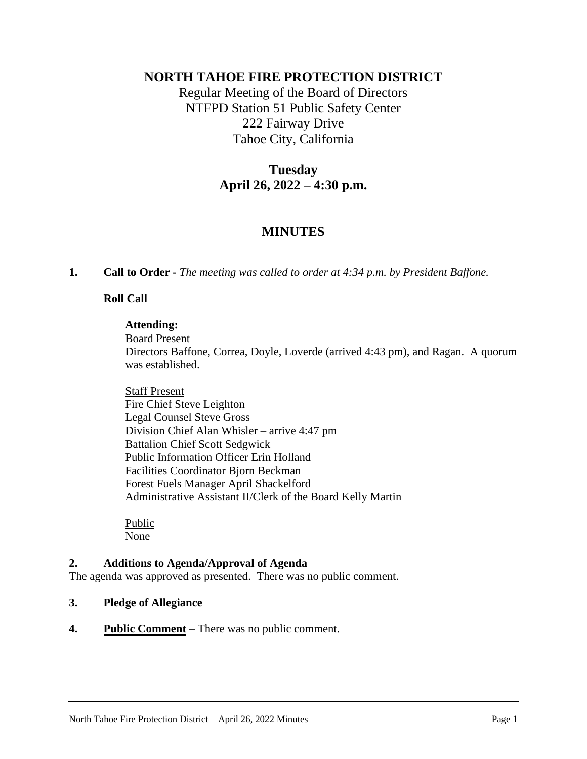# **NORTH TAHOE FIRE PROTECTION DISTRICT**

Regular Meeting of the Board of Directors NTFPD Station 51 Public Safety Center 222 Fairway Drive Tahoe City, California

# **Tuesday April 26, 2022 – 4:30 p.m.**

# **MINUTES**

**1. Call to Order -** *The meeting was called to order at 4:34 p.m. by President Baffone.*

### **Roll Call**

#### **Attending:**

Board Present

Directors Baffone, Correa, Doyle, Loverde (arrived 4:43 pm), and Ragan. A quorum was established.

Staff Present Fire Chief Steve Leighton Legal Counsel Steve Gross Division Chief Alan Whisler – arrive 4:47 pm Battalion Chief Scott Sedgwick Public Information Officer Erin Holland Facilities Coordinator Bjorn Beckman Forest Fuels Manager April Shackelford Administrative Assistant II/Clerk of the Board Kelly Martin

Public None

### **2. Additions to Agenda/Approval of Agenda**

The agenda was approved as presented. There was no public comment.

### **3. Pledge of Allegiance**

**4. Public Comment** *–* There was no public comment.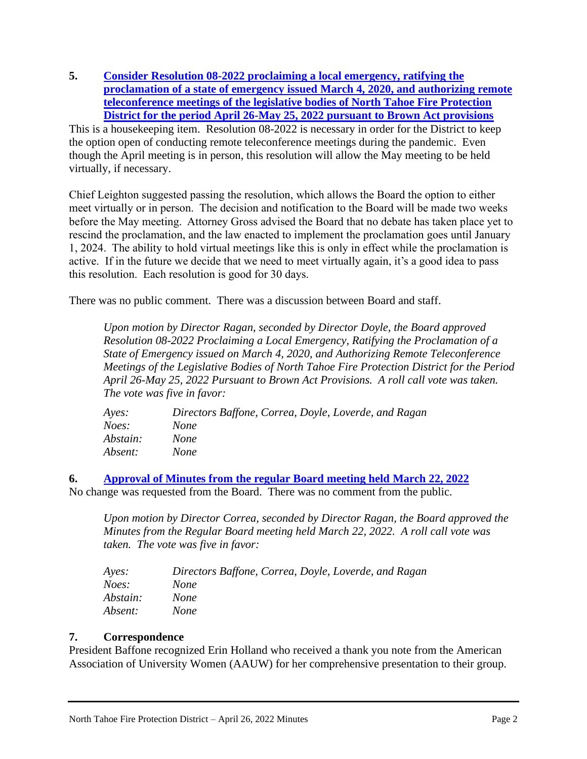**5. [Consider Resolution 08-2022 proclaiming a local emergency, ratifying the](https://35dc295f-092e-4358-bcfa-5d29ab8efcc8.usrfiles.com/ugd/35dc29_5c176132f2624a87999a7bb9434c85d7.pdf)  [proclamation of a state of emergency issued March 4, 2020, and authorizing remote](https://35dc295f-092e-4358-bcfa-5d29ab8efcc8.usrfiles.com/ugd/35dc29_5c176132f2624a87999a7bb9434c85d7.pdf)  [teleconference meetings of the legislative bodies of North Tahoe Fire Protection](https://35dc295f-092e-4358-bcfa-5d29ab8efcc8.usrfiles.com/ugd/35dc29_5c176132f2624a87999a7bb9434c85d7.pdf)  [District for the period April 26-May 25, 2022 pursuant to Brown Act provisions](https://35dc295f-092e-4358-bcfa-5d29ab8efcc8.usrfiles.com/ugd/35dc29_5c176132f2624a87999a7bb9434c85d7.pdf)** This is a housekeeping item. Resolution 08-2022 is necessary in order for the District to keep

the option open of conducting remote teleconference meetings during the pandemic. Even though the April meeting is in person, this resolution will allow the May meeting to be held virtually, if necessary.

Chief Leighton suggested passing the resolution, which allows the Board the option to either meet virtually or in person. The decision and notification to the Board will be made two weeks before the May meeting. Attorney Gross advised the Board that no debate has taken place yet to rescind the proclamation, and the law enacted to implement the proclamation goes until January 1, 2024. The ability to hold virtual meetings like this is only in effect while the proclamation is active. If in the future we decide that we need to meet virtually again, it's a good idea to pass this resolution. Each resolution is good for 30 days.

There was no public comment. There was a discussion between Board and staff.

*Upon motion by Director Ragan, seconded by Director Doyle, the Board approved Resolution 08-2022 Proclaiming a Local Emergency, Ratifying the Proclamation of a State of Emergency issued on March 4, 2020, and Authorizing Remote Teleconference Meetings of the Legislative Bodies of North Tahoe Fire Protection District for the Period April 26-May 25, 2022 Pursuant to Brown Act Provisions. A roll call vote was taken. The vote was five in favor:*

| Directors Baffone, Correa, Doyle, Loverde, and Ragan |
|------------------------------------------------------|
| <b>None</b>                                          |
| <i>None</i>                                          |
| <i>None</i>                                          |
|                                                      |

**6. [Approval of Minutes from the regular Board meeting held March 22, 2022](https://35dc295f-092e-4358-bcfa-5d29ab8efcc8.usrfiles.com/ugd/35dc29_cd8db80c78464f5f839e1b82d6f437d0.pdf)** No change was requested from the Board. There was no comment from the public.

*Upon motion by Director Correa, seconded by Director Ragan, the Board approved the Minutes from the Regular Board meeting held March 22, 2022. A roll call vote was taken. The vote was five in favor:*

| Ayes:    | Directors Baffone, Correa, Doyle, Loverde, and Ragan |
|----------|------------------------------------------------------|
| Noes:    | <b>None</b>                                          |
| Abstain: | <i>None</i>                                          |
| Absent:  | <b>None</b>                                          |

## **7. Correspondence**

President Baffone recognized Erin Holland who received a thank you note from the American Association of University Women (AAUW) for her comprehensive presentation to their group.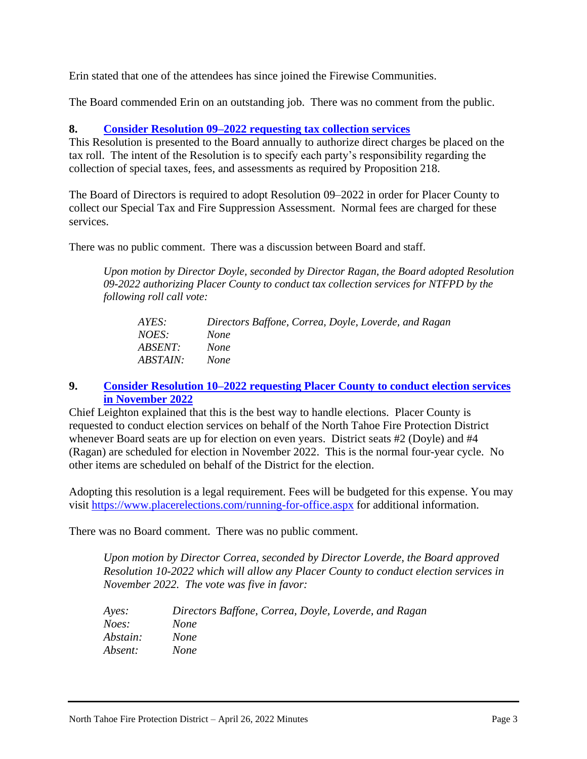Erin stated that one of the attendees has since joined the Firewise Communities.

The Board commended Erin on an outstanding job. There was no comment from the public.

### **8. [Consider Resolution 09–2022 requesting tax collection services](https://35dc295f-092e-4358-bcfa-5d29ab8efcc8.usrfiles.com/ugd/35dc29_c15bb32c22af4b8cbe2c2e0013e028c1.pdf)**

This Resolution is presented to the Board annually to authorize direct charges be placed on the tax roll. The intent of the Resolution is to specify each party's responsibility regarding the collection of special taxes, fees, and assessments as required by Proposition 218.

The Board of Directors is required to adopt Resolution 09–2022 in order for Placer County to collect our Special Tax and Fire Suppression Assessment. Normal fees are charged for these services.

There was no public comment. There was a discussion between Board and staff.

*Upon motion by Director Doyle, seconded by Director Ragan, the Board adopted Resolution 09-2022 authorizing Placer County to conduct tax collection services for NTFPD by the following roll call vote:*

| AYES:           | Directors Baffone, Correa, Doyle, Loverde, and Ragan |
|-----------------|------------------------------------------------------|
| <i>NOES:</i>    | <i>None</i>                                          |
| ABSENT:         | <i>None</i>                                          |
| <i>ABSTAIN:</i> | None.                                                |

### **9. [Consider Resolution 10–2022 requesting Placer County to conduct election services](https://35dc295f-092e-4358-bcfa-5d29ab8efcc8.usrfiles.com/ugd/35dc29_40aa610a5f8e460ba8e3c370cbab78c9.pdf)  [in November 2022](https://35dc295f-092e-4358-bcfa-5d29ab8efcc8.usrfiles.com/ugd/35dc29_40aa610a5f8e460ba8e3c370cbab78c9.pdf)**

Chief Leighton explained that this is the best way to handle elections. Placer County is requested to conduct election services on behalf of the North Tahoe Fire Protection District whenever Board seats are up for election on even years. District seats #2 (Doyle) and #4 (Ragan) are scheduled for election in November 2022. This is the normal four-year cycle. No other items are scheduled on behalf of the District for the election.

Adopting this resolution is a legal requirement. Fees will be budgeted for this expense. You may visit<https://www.placerelections.com/running-for-office.aspx> for additional information.

There was no Board comment. There was no public comment.

*Upon motion by Director Correa, seconded by Director Loverde, the Board approved Resolution 10-2022 which will allow any Placer County to conduct election services in November 2022. The vote was five in favor:*

| Ayes:    | Directors Baffone, Correa, Doyle, Loverde, and Ragan |
|----------|------------------------------------------------------|
| Noes:    | <i>None</i>                                          |
| Abstain: | <i>None</i>                                          |
| Absent:  | <i>None</i>                                          |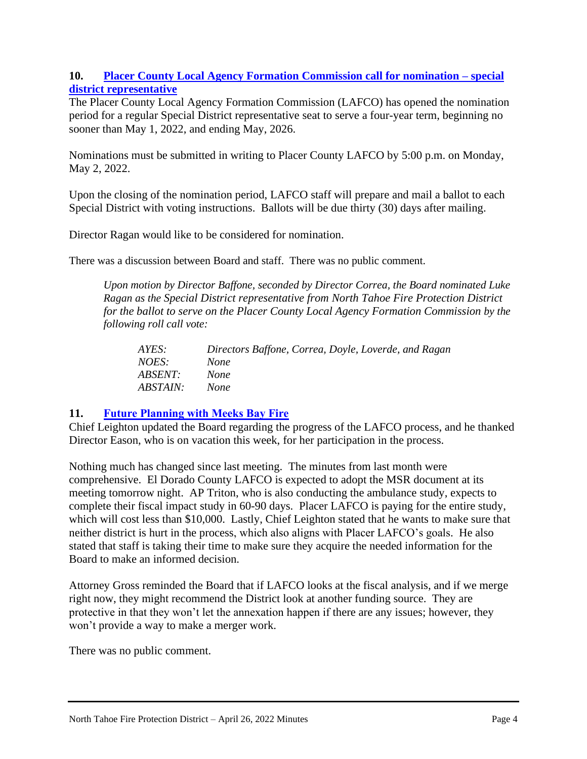## **10. [Placer County Local Agency Formation Commission call for nomination –](https://35dc295f-092e-4358-bcfa-5d29ab8efcc8.usrfiles.com/ugd/35dc29_6dffd40efd0942689252f09614be983e.pdf) special [district representative](https://35dc295f-092e-4358-bcfa-5d29ab8efcc8.usrfiles.com/ugd/35dc29_6dffd40efd0942689252f09614be983e.pdf)**

The Placer County Local Agency Formation Commission (LAFCO) has opened the nomination period for a regular Special District representative seat to serve a four-year term, beginning no sooner than May 1, 2022, and ending May, 2026.

Nominations must be submitted in writing to Placer County LAFCO by 5:00 p.m. on Monday, May 2, 2022.

Upon the closing of the nomination period, LAFCO staff will prepare and mail a ballot to each Special District with voting instructions. Ballots will be due thirty (30) days after mailing.

Director Ragan would like to be considered for nomination.

There was a discussion between Board and staff. There was no public comment.

*Upon motion by Director Baffone, seconded by Director Correa, the Board nominated Luke Ragan as the Special District representative from North Tahoe Fire Protection District for the ballot to serve on the Placer County Local Agency Formation Commission by the following roll call vote:*

| AYES:           | Directors Baffone, Correa, Doyle, Loverde, and Ragan |
|-----------------|------------------------------------------------------|
| NOES:           | <i>None</i>                                          |
| <i>ABSENT:</i>  | None                                                 |
| <i>ABSTAIN:</i> | None.                                                |

## **11. [Future Planning with Meeks Bay Fire](https://35dc295f-092e-4358-bcfa-5d29ab8efcc8.usrfiles.com/ugd/35dc29_79295b8b1afe4f98848aa7aa140be914.pdf)**

Chief Leighton updated the Board regarding the progress of the LAFCO process, and he thanked Director Eason, who is on vacation this week, for her participation in the process.

Nothing much has changed since last meeting. The minutes from last month were comprehensive. El Dorado County LAFCO is expected to adopt the MSR document at its meeting tomorrow night. AP Triton, who is also conducting the ambulance study, expects to complete their fiscal impact study in 60-90 days. Placer LAFCO is paying for the entire study, which will cost less than \$10,000. Lastly, Chief Leighton stated that he wants to make sure that neither district is hurt in the process, which also aligns with Placer LAFCO's goals. He also stated that staff is taking their time to make sure they acquire the needed information for the Board to make an informed decision.

Attorney Gross reminded the Board that if LAFCO looks at the fiscal analysis, and if we merge right now, they might recommend the District look at another funding source. They are protective in that they won't let the annexation happen if there are any issues; however, they won't provide a way to make a merger work.

There was no public comment.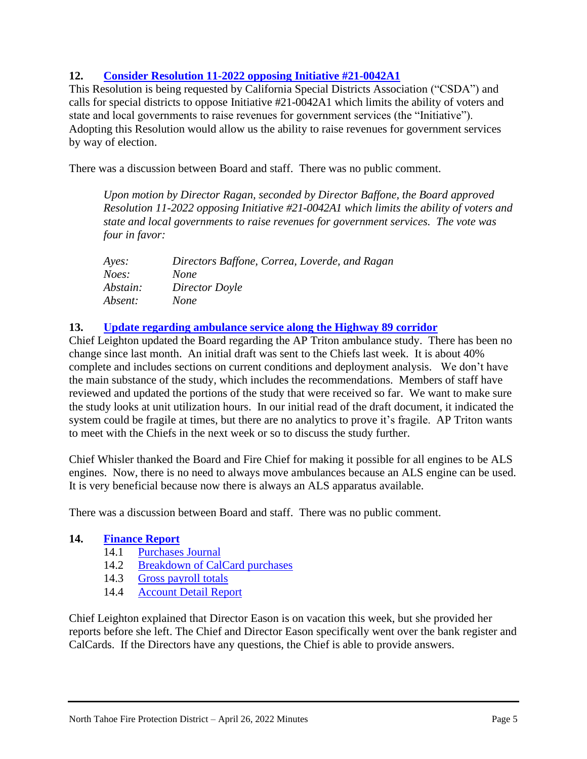# **12. [Consider Resolution 11-2022 opposing Initiative #21-0042A1](https://35dc295f-092e-4358-bcfa-5d29ab8efcc8.usrfiles.com/ugd/35dc29_1d47aeb0f26b446fa605183d13a9e56c.pdf)**

This Resolution is being requested by California Special Districts Association ("CSDA") and calls for special districts to oppose Initiative #21-0042A1 which limits the ability of voters and state and local governments to raise revenues for government services (the "Initiative"). Adopting this Resolution would allow us the ability to raise revenues for government services by way of election.

There was a discussion between Board and staff. There was no public comment.

*Upon motion by Director Ragan, seconded by Director Baffone, the Board approved Resolution 11-2022 opposing Initiative #21-0042A1 which limits the ability of voters and state and local governments to raise revenues for government services. The vote was four in favor:*

| Ayes:    | Directors Baffone, Correa, Loverde, and Ragan |
|----------|-----------------------------------------------|
| Noes:    | <i>None</i>                                   |
| Abstain: | Director Doyle                                |
| Absent:  | <i>None</i>                                   |

### **13. [Update regarding ambulance service along the Highway 89 corridor](https://35dc295f-092e-4358-bcfa-5d29ab8efcc8.usrfiles.com/ugd/35dc29_50e27eed0a0c4314ae8f86a0535f85b6.pdf)**

Chief Leighton updated the Board regarding the AP Triton ambulance study. There has been no change since last month. An initial draft was sent to the Chiefs last week. It is about 40% complete and includes sections on current conditions and deployment analysis. We don't have the main substance of the study, which includes the recommendations. Members of staff have reviewed and updated the portions of the study that were received so far. We want to make sure the study looks at unit utilization hours. In our initial read of the draft document, it indicated the system could be fragile at times, but there are no analytics to prove it's fragile. AP Triton wants to meet with the Chiefs in the next week or so to discuss the study further.

Chief Whisler thanked the Board and Fire Chief for making it possible for all engines to be ALS engines. Now, there is no need to always move ambulances because an ALS engine can be used. It is very beneficial because now there is always an ALS apparatus available.

There was a discussion between Board and staff. There was no public comment.

### **14. [Finance Report](https://35dc295f-092e-4358-bcfa-5d29ab8efcc8.usrfiles.com/ugd/35dc29_2106d8099a664638b01d8ce489aa09bd.pdf)**

- 14.1 [Purchases Journal](https://35dc295f-092e-4358-bcfa-5d29ab8efcc8.usrfiles.com/ugd/35dc29_9574471e761d49fb9cd1d7b2067fc3bd.pdf)
- 14.2 [Breakdown of CalCard purchases](https://35dc295f-092e-4358-bcfa-5d29ab8efcc8.usrfiles.com/ugd/35dc29_500d5a2045e149c4a87ccfbccb821e21.pdf)
- 14.3 [Gross payroll totals](https://35dc295f-092e-4358-bcfa-5d29ab8efcc8.usrfiles.com/ugd/35dc29_c1e8ecb5411a4f21a104fdc311f1aff9.pdf)
- 14.4 [Account Detail Report](https://35dc295f-092e-4358-bcfa-5d29ab8efcc8.usrfiles.com/ugd/35dc29_ebf4dc3566c648b29e88444abec40da3.pdf)

Chief Leighton explained that Director Eason is on vacation this week, but she provided her reports before she left. The Chief and Director Eason specifically went over the bank register and CalCards. If the Directors have any questions, the Chief is able to provide answers.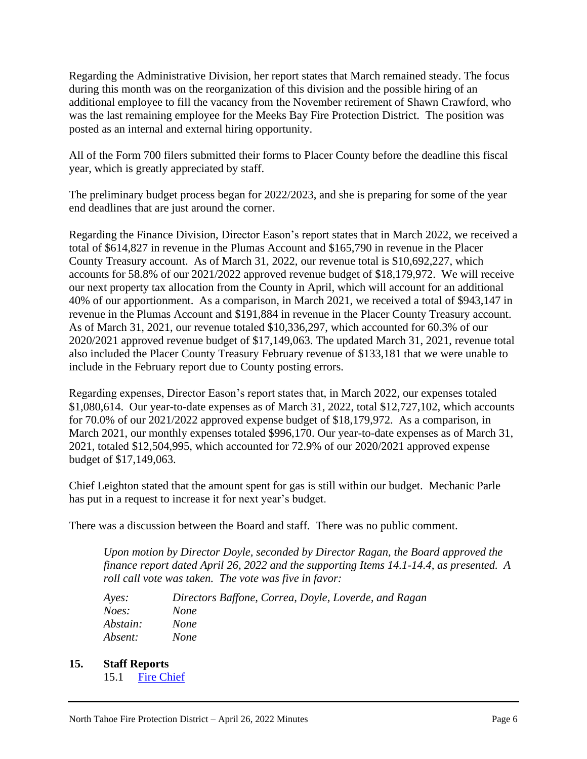Regarding the Administrative Division, her report states that March remained steady. The focus during this month was on the reorganization of this division and the possible hiring of an additional employee to fill the vacancy from the November retirement of Shawn Crawford, who was the last remaining employee for the Meeks Bay Fire Protection District. The position was posted as an internal and external hiring opportunity.

All of the Form 700 filers submitted their forms to Placer County before the deadline this fiscal year, which is greatly appreciated by staff.

The preliminary budget process began for 2022/2023, and she is preparing for some of the year end deadlines that are just around the corner.

Regarding the Finance Division, Director Eason's report states that in March 2022, we received a total of \$614,827 in revenue in the Plumas Account and \$165,790 in revenue in the Placer County Treasury account. As of March 31, 2022, our revenue total is \$10,692,227, which accounts for 58.8% of our 2021/2022 approved revenue budget of \$18,179,972. We will receive our next property tax allocation from the County in April, which will account for an additional 40% of our apportionment. As a comparison, in March 2021, we received a total of \$943,147 in revenue in the Plumas Account and \$191,884 in revenue in the Placer County Treasury account. As of March 31, 2021, our revenue totaled \$10,336,297, which accounted for 60.3% of our 2020/2021 approved revenue budget of \$17,149,063. The updated March 31, 2021, revenue total also included the Placer County Treasury February revenue of \$133,181 that we were unable to include in the February report due to County posting errors.

Regarding expenses, Director Eason's report states that, in March 2022, our expenses totaled \$1,080,614. Our year-to-date expenses as of March 31, 2022, total \$12,727,102, which accounts for 70.0% of our 2021/2022 approved expense budget of \$18,179,972. As a comparison, in March 2021, our monthly expenses totaled \$996,170. Our year-to-date expenses as of March 31, 2021, totaled \$12,504,995, which accounted for 72.9% of our 2020/2021 approved expense budget of \$17,149,063.

Chief Leighton stated that the amount spent for gas is still within our budget. Mechanic Parle has put in a request to increase it for next year's budget.

There was a discussion between the Board and staff. There was no public comment.

*Upon motion by Director Doyle, seconded by Director Ragan, the Board approved the finance report dated April 26, 2022 and the supporting Items 14.1-14.4, as presented. A roll call vote was taken. The vote was five in favor:*

| Ayes:    | Directors Baffone, Correa, Doyle, Loverde, and Ragan |
|----------|------------------------------------------------------|
| Noes:    | <i>None</i>                                          |
| Abstain: | <b>None</b>                                          |
| Absent:  | <i>None</i>                                          |

- **15. Staff Reports**
	- 15.1 [Fire Chief](https://35dc295f-092e-4358-bcfa-5d29ab8efcc8.usrfiles.com/ugd/35dc29_e6825cc528414f97b91edd052afb1979.pdf)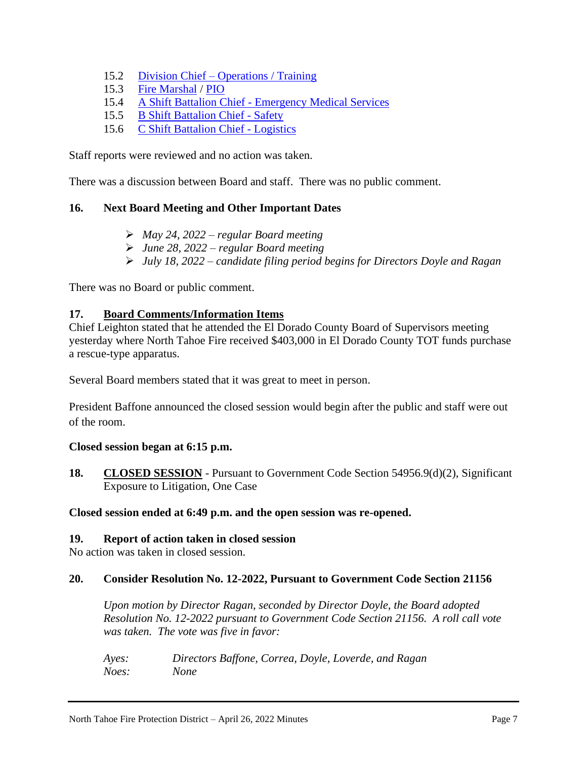- 15.2 Division Chief [Operations / Training](https://35dc295f-092e-4358-bcfa-5d29ab8efcc8.usrfiles.com/ugd/35dc29_730dead531614ba9ace083199573cc43.pdf)
- 15.3 [Fire Marshal](https://35dc295f-092e-4358-bcfa-5d29ab8efcc8.usrfiles.com/ugd/35dc29_e0deea8141a049f0bc93cd8b5d84adbc.pdf) / [PIO](https://35dc295f-092e-4358-bcfa-5d29ab8efcc8.usrfiles.com/ugd/35dc29_0703900578be4dd9b3518df9c32aa589.pdf)
- 15.4 A Shift Battalion Chief [Emergency Medical Services](https://35dc295f-092e-4358-bcfa-5d29ab8efcc8.usrfiles.com/ugd/35dc29_6ad5dafcd6ef44efbe48dc52e991e573.pdf)
- 15.5 [B Shift Battalion Chief -](https://35dc295f-092e-4358-bcfa-5d29ab8efcc8.usrfiles.com/ugd/35dc29_9a2623aa8d6b4fab80cead7ab3e303a6.pdf) Safety
- 15.6 [C Shift Battalion Chief -](https://35dc295f-092e-4358-bcfa-5d29ab8efcc8.usrfiles.com/ugd/35dc29_f7cd6b558eec4f0aab38dec1ab32f9c5.pdf) Logistics

Staff reports were reviewed and no action was taken.

There was a discussion between Board and staff. There was no public comment.

## **16. Next Board Meeting and Other Important Dates**

- ➢ *May 24, 2022 – regular Board meeting*
- ➢ *June 28, 2022 – regular Board meeting*
- ➢ *July 18, 2022 – candidate filing period begins for Directors Doyle and Ragan*

There was no Board or public comment.

### **17. Board Comments/Information Items**

Chief Leighton stated that he attended the El Dorado County Board of Supervisors meeting yesterday where North Tahoe Fire received \$403,000 in El Dorado County TOT funds purchase a rescue-type apparatus.

Several Board members stated that it was great to meet in person.

President Baffone announced the closed session would begin after the public and staff were out of the room.

### **Closed session began at 6:15 p.m.**

**18. CLOSED SESSION** - Pursuant to Government Code Section 54956.9(d)(2), Significant Exposure to Litigation, One Case

### **Closed session ended at 6:49 p.m. and the open session was re-opened.**

### **19. Report of action taken in closed session**

No action was taken in closed session.

### **20. Consider Resolution No. 12-2022, Pursuant to Government Code Section 21156**

*Upon motion by Director Ragan, seconded by Director Doyle, the Board adopted Resolution No. 12-2022 pursuant to Government Code Section 21156. A roll call vote was taken. The vote was five in favor:*

*Ayes: Directors Baffone, Correa, Doyle, Loverde, and Ragan Noes: None*